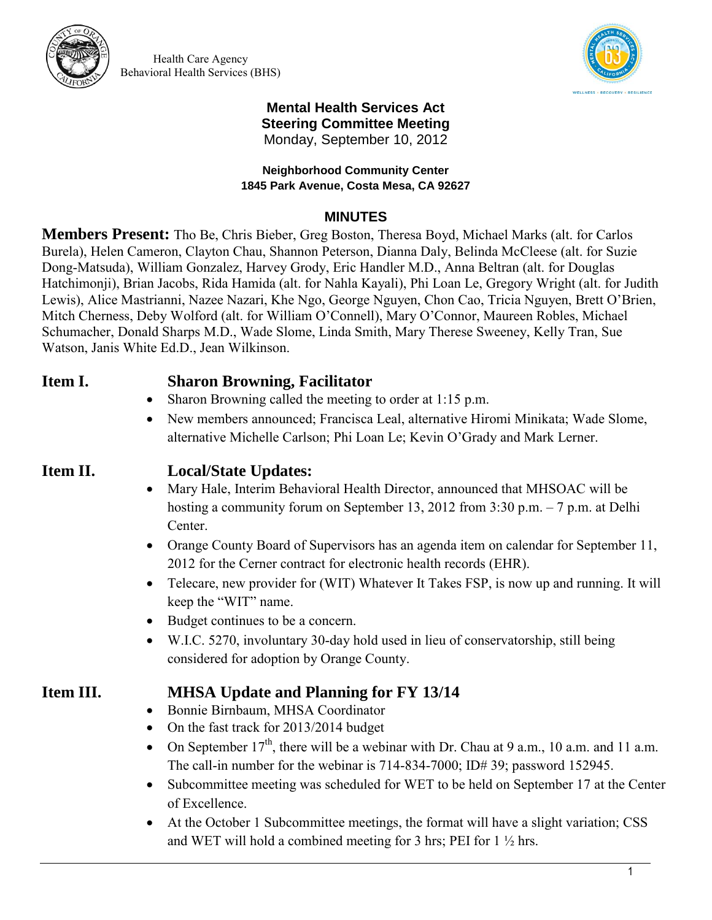

Health Care Agency Behavioral Health Services (BHS)



### **Mental Health Services Act Steering Committee Meeting**  Monday, September 10, 2012

### **Neighborhood Community Center 1845 Park Avenue, Costa Mesa, CA 92627**

## **MINUTES**

**Members Present:** Tho Be, Chris Bieber, Greg Boston, Theresa Boyd, Michael Marks (alt. for Carlos Burela), Helen Cameron, Clayton Chau, Shannon Peterson, Dianna Daly, Belinda McCleese (alt. for Suzie Dong-Matsuda), William Gonzalez, Harvey Grody, Eric Handler M.D., Anna Beltran (alt. for Douglas Hatchimonji), Brian Jacobs, Rida Hamida (alt. for Nahla Kayali), Phi Loan Le, Gregory Wright (alt. for Judith Lewis), Alice Mastrianni, Nazee Nazari, Khe Ngo, George Nguyen, Chon Cao, Tricia Nguyen, Brett O'Brien, Mitch Cherness, Deby Wolford (alt. for William O'Connell), Mary O'Connor, Maureen Robles, Michael Schumacher, Donald Sharps M.D., Wade Slome, Linda Smith, Mary Therese Sweeney, Kelly Tran, Sue Watson, Janis White Ed.D., Jean Wilkinson.

## **Item I. Sharon Browning, Facilitator**

- Sharon Browning called the meeting to order at 1:15 p.m.
- New members announced; Francisca Leal, alternative Hiromi Minikata; Wade Slome, alternative Michelle Carlson; Phi Loan Le; Kevin O'Grady and Mark Lerner.

# **Item II. Local/State Updates:**

- Mary Hale, Interim Behavioral Health Director, announced that MHSOAC will be hosting a community forum on September 13, 2012 from 3:30 p.m. – 7 p.m. at Delhi Center.
- Orange County Board of Supervisors has an agenda item on calendar for September 11, 2012 for the Cerner contract for electronic health records (EHR).
- Telecare, new provider for (WIT) Whatever It Takes FSP, is now up and running. It will keep the "WIT" name.
- Budget continues to be a concern.
- W.I.C. 5270, involuntary 30-day hold used in lieu of conservatorship, still being considered for adoption by Orange County.

- **Item III. MHSA Update and Planning for FY 13/14** 
	- Bonnie Birnbaum, MHSA Coordinator
	- On the fast track for 2013/2014 budget
	- On September  $17<sup>th</sup>$ , there will be a webinar with Dr. Chau at 9 a.m., 10 a.m. and 11 a.m. The call-in number for the webinar is 714-834-7000; ID# 39; password 152945.
	- Subcommittee meeting was scheduled for WET to be held on September 17 at the Center of Excellence.
	- At the October 1 Subcommittee meetings, the format will have a slight variation; CSS and WET will hold a combined meeting for 3 hrs; PEI for  $1 \frac{1}{2}$  hrs.